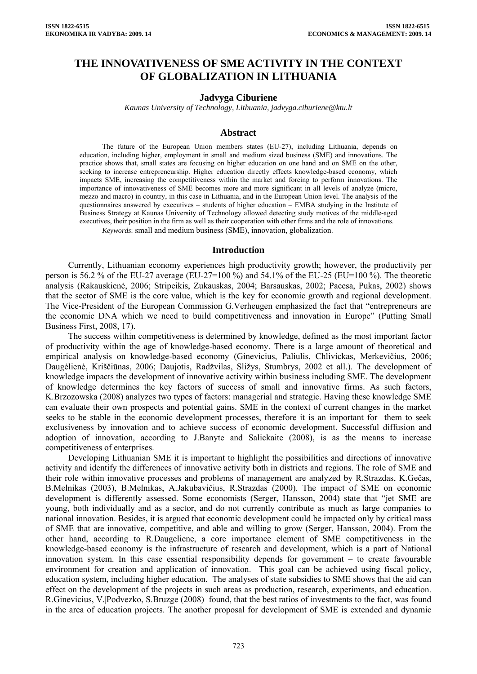# **THE INNOVATIVENESS OF SME ACTIVITY IN THE CONTEXT OF GLOBALIZATION IN LITHUANIA**

#### **Jadvyga Ciburiene**

*Kaunas University of Technology, Lithuania, [jadvyga.ciburiene@ktu.lt](mailto:jadvyga.ciburiene@ktu.lt)* 

## **Abstract**

The future of the European Union members states (EU-27), including Lithuania, depends on education, including higher, employment in small and medium sized business (SME) and innovations. The practice shows that, small states are focusing on higher education on one hand and on SME on the other, seeking to increase entrepreneurship. Higher education directly effects knowledge-based economy, which impacts SME, increasing the competitiveness within the market and forcing to perform innovations. The importance of innovativeness of SME becomes more and more significant in all levels of analyze (micro, mezzo and macro) in country, in this case in Lithuania, and in the European Union level. The analysis of the questionnaires answered by executives – students of higher education – EMBA studying in the Institute of Business Strategy at Kaunas University of Technology allowed detecting study motives of the middle-aged executives, their position in the firm as well as their cooperation with other firms and the role of innovations. *Keywords*: small and medium business (SME), innovation, globalization.

#### **Introduction**

Currently, Lithuanian economy experiences high productivity growth; however, the productivity per person is 56.2 % of the EU-27 average (EU-27=100 %) and 54.1% of the EU-25 (EU=100 %). The theoretic analysis (Rakauskienė, 2006; Stripeikis, Zukauskas, 2004; Barsauskas, 2002; Pacesa, Pukas, 2002) shows that the sector of SME is the core value, which is the key for economic growth and regional development. The Vice-President of the European Commission G.Verheugen emphasized the fact that "entrepreneurs are the economic DNA which we need to build competitiveness and innovation in Europe" (Putting Small Business First, 2008, 17).

The success within competitiveness is determined by knowledge, defined as the most important factor of productivity within the age of knowledge-based economy. There is a large amount of theoretical and empirical analysis on knowledge-based economy (Ginevicius, Paliulis, Chlivickas, Merkevičius, 2006; Daugėlienė, Kriščiūnas, 2006; Daujotis, Radžvilas, Sližys, Stumbrys, 2002 et all.). The development of knowledge impacts the development of innovative activity within business including SME. The development of knowledge determines the key factors of success of small and innovative firms. As such factors, K.Brzozowska (2008) analyzes two types of factors: managerial and strategic. Having these knowledge SME can evaluate their own prospects and potential gains. SME in the context of current changes in the market seeks to be stable in the economic development processes, therefore it is an important for them to seek exclusiveness by innovation and to achieve success of economic development. Successful diffusion and adoption of innovation, according to J.Banyte and Salickaite (2008), is as the means to increase competitiveness of enterprises.

Developing Lithuanian SME it is important to highlight the possibilities and directions of innovative activity and identify the differences of innovative activity both in districts and regions. The role of SME and their role within innovative processes and problems of management are analyzed by R.Strazdas, K.Gečas, B.Melnikas (2003), B.Melnikas, A.Jakubavičius, R.Strazdas (2000). The impact of SME on economic development is differently assessed. Some economists (Serger, Hansson, 2004) state that "jet SME are young, both individually and as a sector, and do not currently contribute as much as large companies to national innovation. Besides, it is argued that economic development could be impacted only by critical mass of SME that are innovative, competitive, and able and willing to grow (Serger, Hansson, 2004). From the other hand, according to R.Daugeliene, a core importance element of SME competitiveness in the knowledge-based economy is the infrastructure of research and development, which is a part of National innovation system. In this case essential responsibility depends for government – to create favourable environment for creation and application of innovation. This goal can be achieved using fiscal policy, education system, including higher education. The analyses of state subsidies to SME shows that the aid can effect on the development of the projects in such areas as production, research, experiments, and education. R.Ginevicius, V.|Podvezko, S.Bruzge (2008) found, that the best ratios of investments to the fact, was found in the area of education projects. The another proposal for development of SME is extended and dynamic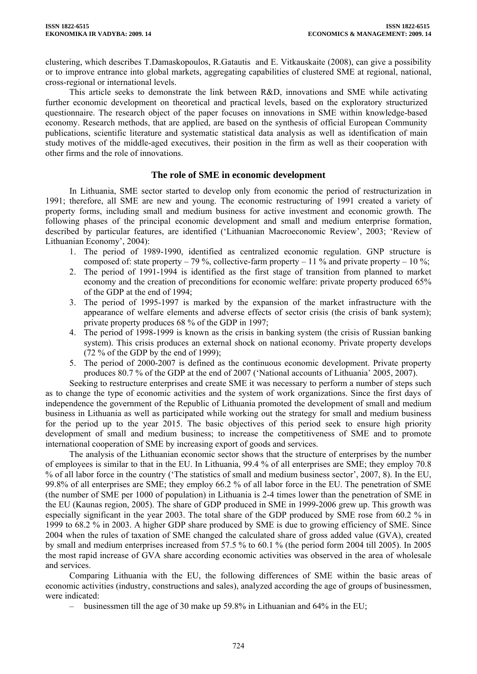clustering, which describes T.Damaskopoulos, R.Gatautis and E. Vitkauskaite (2008), can give a possibility or to improve entrance into global markets, aggregating capabilities of clustered SME at regional, national, cross-regional or international levels.

This article seeks to demonstrate the link between R&D, innovations and SME while activating further economic development on theoretical and practical levels, based on the exploratory structurized questionnaire. The research object of the paper focuses on innovations in SME within knowledge-based economy. Research methods, that are applied, are based on the synthesis of official European Community publications, scientific literature and systematic statistical data analysis as well as identification of main study motives of the middle-aged executives, their position in the firm as well as their cooperation with other firms and the role of innovations.

## **The role of SME in economic development**

In Lithuania, SME sector started to develop only from economic the period of restructurization in 1991; therefore, all SME are new and young. The economic restructuring of 1991 created a variety of property forms, including small and medium business for active investment and economic growth. The following phases of the principal economic development and small and medium enterprise formation, described by particular features, are identified ('Lithuanian Macroeconomic Review', 2003; 'Review of Lithuanian Economy', 2004):

- 1. The period of 1989-1990, identified as centralized economic regulation. GNP structure is composed of: state property – 79 %, collective-farm property – 11 % and private property – 10 %;
- 2. The period of 1991-1994 is identified as the first stage of transition from planned to market economy and the creation of preconditions for economic welfare: private property produced 65% of the GDP at the end of 1994;
- 3. The period of 1995-1997 is marked by the expansion of the market infrastructure with the appearance of welfare elements and adverse effects of sector crisis (the crisis of bank system); private property produces 68 % of the GDP in 1997;
- 4. The period of 1998-1999 is known as the crisis in banking system (the crisis of Russian banking system). This crisis produces an external shock on national economy. Private property develops  $(72\% \text{ of the GDP by the end of } 1999)$ ;
- 5. The period of 2000-2007 is defined as the continuous economic development. Private property produces 80.7 % of the GDP at the end of 2007 ('National accounts of Lithuania' 2005, 2007).

Seeking to restructure enterprises and create SME it was necessary to perform a number of steps such as to change the type of economic activities and the system of work organizations. Since the first days of independence the government of the Republic of Lithuania promoted the development of small and medium business in Lithuania as well as participated while working out the strategy for small and medium business for the period up to the year 2015. The basic objectives of this period seek to ensure high priority development of small and medium business; to increase the competitiveness of SME and to promote international cooperation of SME by increasing export of goods and services.

The analysis of the Lithuanian economic sector shows that the structure of enterprises by the number of employees is similar to that in the EU. In Lithuania, 99.4 % of all enterprises are SME; they employ 70.8 % of all labor force in the country ('The statistics of small and medium business sector', 2007, 8). In the EU, 99.8% of all enterprises are SME; they employ 66.2 % of all labor force in the EU. The penetration of SME (the number of SME per 1000 of population) in Lithuania is 2-4 times lower than the penetration of SME in the EU (Kaunas region, 2005). The share of GDP produced in SME in 1999-2006 grew up. This growth was especially significant in the year 2003. The total share of the GDP produced by SME rose from 60.2 % in 1999 to 68.2 % in 2003. A higher GDP share produced by SME is due to growing efficiency of SME. Since 2004 when the rules of taxation of SME changed the calculated share of gross added value (GVA), created by small and medium enterprises increased from 57.5 % to 60.1 % (the period form 2004 till 2005). In 2005 the most rapid increase of GVA share according economic activities was observed in the area of wholesale and services.

Comparing Lithuania with the EU, the following differences of SME within the basic areas of economic activities (industry, constructions and sales), analyzed according the age of groups of businessmen, were indicated:

– businessmen till the age of 30 make up 59.8% in Lithuanian and 64% in the EU;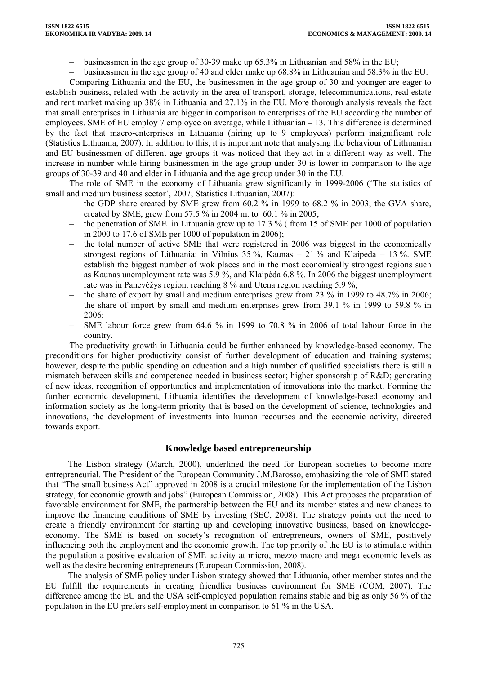- businessmen in the age group of 30-39 make up 65.3% in Lithuanian and 58% in the EU;
- businessmen in the age group of 40 and elder make up 68.8% in Lithuanian and 58.3% in the EU.

Comparing Lithuania and the EU, the businessmen in the age group of 30 and younger are eager to establish business, related with the activity in the area of transport, storage, telecommunications, real estate and rent market making up 38% in Lithuania and 27.1% in the EU. More thorough analysis reveals the fact that small enterprises in Lithuania are bigger in comparison to enterprises of the EU according the number of employees. SME of EU employ 7 employee on average, while Lithuanian – 13. This difference is determined by the fact that macro-enterprises in Lithuania (hiring up to 9 employees) perform insignificant role (Statistics Lithuania, 2007). In addition to this, it is important note that analysing the behaviour of Lithuanian and EU businessmen of different age groups it was noticed that they act in a different way as well. The increase in number while hiring businessmen in the age group under 30 is lower in comparison to the age groups of 30-39 and 40 and elder in Lithuania and the age group under 30 in the EU.

The role of SME in the economy of Lithuania grew significantly in 1999-2006 ('The statistics of small and medium business sector', 2007; Statistics Lithuanian, 2007):

- the GDP share created by SME grew from 60.2 % in 1999 to 68.2 % in 2003; the GVA share, created by SME, grew from 57.5 % in 2004 m. to 60.1 % in 2005;
- the penetration of SME in Lithuania grew up to 17.3 % ( from 15 of SME per 1000 of population in 2000 to 17.6 of SME per 1000 of population in 2006);
- the total number of active SME that were registered in 2006 was biggest in the economically strongest regions of Lithuania: in Vilnius 35 %, Kaunas – 21 % and Klaipėda – 13 %. SME establish the biggest number of wok places and in the most economically strongest regions such as Kaunas unemployment rate was 5.9 %, and Klaipėda 6.8 %. In 2006 the biggest unemployment rate was in Panevėžys region, reaching 8 % and Utena region reaching 5.9 %;
- the share of export by small and medium enterprises grew from 23 % in 1999 to 48.7% in 2006; the share of import by small and medium enterprises grew from 39.1 % in 1999 to 59.8 % in 2006;
- SME labour force grew from 64.6 % in 1999 to 70.8 % in 2006 of total labour force in the country.

The productivity growth in Lithuania could be further enhanced by knowledge-based economy. The preconditions for higher productivity consist of further development of education and training systems; however, despite the public spending on education and a high number of qualified specialists there is still a mismatch between skills and competence needed in business sector; higher sponsorship of R&D; generating of new ideas, recognition of opportunities and implementation of innovations into the market. Forming the further economic development, Lithuania identifies the development of knowledge-based economy and information society as the long-term priority that is based on the development of science, technologies and innovations, the development of investments into human recourses and the economic activity, directed towards export.

## **Knowledge based entrepreneurship**

The Lisbon strategy (March, 2000), underlined the need for European societies to become more entrepreneurial. The President of the European Community J.M.Barosso, emphasizing the role of SME stated that "The small business Act" approved in 2008 is a crucial milestone for the implementation of the Lisbon strategy, for economic growth and jobs" (European Commission, 2008). This Act proposes the preparation of favorable environment for SME, the partnership between the EU and its member states and new chances to improve the financing conditions of SME by investing (SEC, 2008). The strategy points out the need to create a friendly environment for starting up and developing innovative business, based on knowledgeeconomy. The SME is based on society's recognition of entrepreneurs, owners of SME, positively influencing both the employment and the economic growth. The top priority of the EU is to stimulate within the population a positive evaluation of SME activity at micro, mezzo macro and mega economic levels as well as the desire becoming entrepreneurs (European Commission, 2008).

The analysis of SME policy under Lisbon strategy showed that Lithuania, other member states and the EU fulfill the requirements in creating friendlier business environment for SME (COM, 2007). The difference among the EU and the USA self-employed population remains stable and big as only 56 % of the population in the EU prefers self-employment in comparison to 61 % in the USA.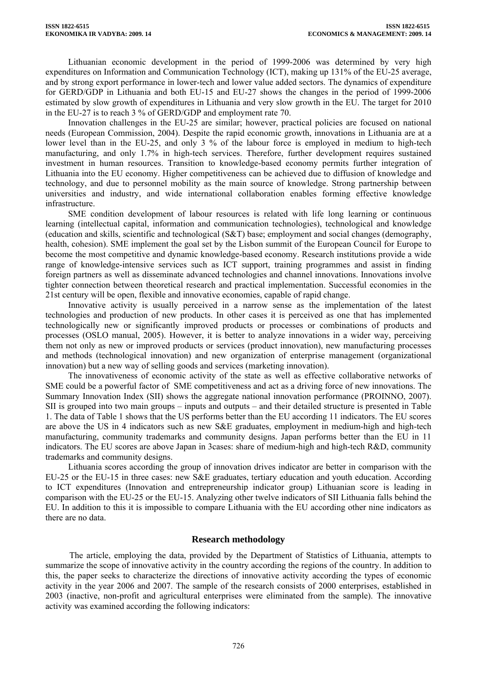Lithuanian economic development in the period of 1999-2006 was determined by very high expenditures on Information and Communication Technology (ICT), making up 131% of the EU-25 average, and by strong export performance in lower-tech and lower value added sectors. The dynamics of expenditure for GERD/GDP in Lithuania and both EU-15 and EU-27 shows the changes in the period of 1999-2006 estimated by slow growth of expenditures in Lithuania and very slow growth in the EU. The target for 2010 in the EU-27 is to reach 3 % of GERD/GDP and employment rate 70.

Innovation challenges in the EU-25 are similar; however, practical policies are focused on national needs (European Commission, 2004). Despite the rapid economic growth, innovations in Lithuania are at a lower level than in the EU-25, and only 3 % of the labour force is employed in medium to high-tech manufacturing, and only 1.7% in high-tech services. Therefore, further development requires sustained investment in human resources. Transition to knowledge-based economy permits further integration of Lithuania into the EU economy. Higher competitiveness can be achieved due to diffusion of knowledge and technology, and due to personnel mobility as the main source of knowledge. Strong partnership between universities and industry, and wide international collaboration enables forming effective knowledge infrastructure.

SME condition development of labour resources is related with life long learning or continuous learning (intellectual capital, information and communication technologies), technological and knowledge (education and skills, scientific and technological (S&T) base; employment and social changes (demography, health, cohesion). SME implement the goal set by the Lisbon summit of the European Council for Europe to become the most competitive and dynamic knowledge-based economy. Research institutions provide a wide range of knowledge-intensive services such as ICT support, training programmes and assist in finding foreign partners as well as disseminate advanced technologies and channel innovations. Innovations involve tighter connection between theoretical research and practical implementation. Successful economies in the 21st century will be open, flexible and innovative economies, capable of rapid change.

Innovative activity is usually perceived in a narrow sense as the implementation of the latest technologies and production of new products. In other cases it is perceived as one that has implemented technologically new or significantly improved products or processes or combinations of products and processes (OSLO manual, 2005). However, it is better to analyze innovations in a wider way, perceiving them not only as new or improved products or services (product innovation), new manufacturing processes and methods (technological innovation) and new organization of enterprise management (organizational innovation) but a new way of selling goods and services (marketing innovation).

The innovativeness of economic activity of the state as well as effective collaborative networks of SME could be a powerful factor of SME competitiveness and act as a driving force of new innovations. The Summary Innovation Index (SII) shows the aggregate national innovation performance (PROINNO, 2007). SII is grouped into two main groups – inputs and outputs – and their detailed structure is presented in Table 1. The data of Table 1 shows that the US performs better than the EU according 11 indicators. The EU scores are above the US in 4 indicators such as new S&E graduates, employment in medium-high and high-tech manufacturing, community trademarks and community designs. Japan performs better than the EU in 11 indicators. The EU scores are above Japan in 3cases: share of medium-high and high-tech R&D, community trademarks and community designs.

Lithuania scores according the group of innovation drives indicator are better in comparison with the EU-25 or the EU-15 in three cases: new S&E graduates, tertiary education and youth education. According to ICT expenditures (Innovation and entrepreneurship indicator group) Lithuanian score is leading in comparison with the EU-25 or the EU-15. Analyzing other twelve indicators of SII Lithuania falls behind the EU. In addition to this it is impossible to compare Lithuania with the EU according other nine indicators as there are no data.

## **Research methodology**

The article, employing the data, provided by the Department of Statistics of Lithuania, attempts to summarize the scope of innovative activity in the country according the regions of the country. In addition to this, the paper seeks to characterize the directions of innovative activity according the types of economic activity in the year 2006 and 2007. The sample of the research consists of 2000 enterprises, established in 2003 (inactive, non-profit and agricultural enterprises were eliminated from the sample). The innovative activity was examined according the following indicators: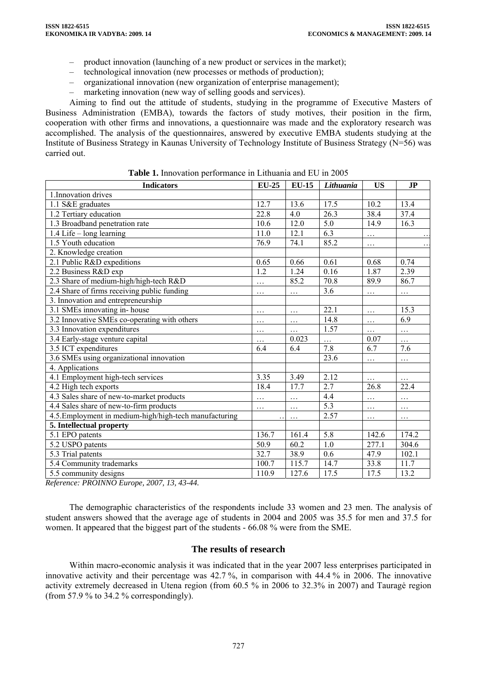- product innovation (launching of a new product or services in the market);
- technological innovation (new processes or methods of production);
- organizational innovation (new organization of enterprise management);
- marketing innovation (new way of selling goods and services).

Aiming to find out the attitude of students, studying in the programme of Executive Masters of Business Administration (EMBA), towards the factors of study motives, their position in the firm, cooperation with other firms and innovations, a questionnaire was made and the exploratory research was accomplished. The analysis of the questionnaires, answered by executive EMBA students studying at the Institute of Business Strategy in Kaunas University of Technology Institute of Business Strategy (N=56) was carried out.

| <b>Indicators</b>                                      | $EU-25$  | <b>EU-15</b> | Lithuania        | <b>US</b> | J <sub>P</sub> |
|--------------------------------------------------------|----------|--------------|------------------|-----------|----------------|
| 1. Innovation drives                                   |          |              |                  |           |                |
| 1.1 S&E graduates                                      | 12.7     | 13.6         | 17.5             | 10.2      | 13.4           |
| 1.2 Tertiary education                                 | 22.8     | 4.0          | 26.3             | 38.4      | 37.4           |
| 1.3 Broadband penetration rate                         | 10.6     | 12.0         | 5.0              | 14.9      | 16.3           |
| 1.4 Life - long learning                               | 11.0     | 12.1         | 6.3              | .         |                |
| 1.5 Youth education                                    | 76.9     | 74.1         | 85.2             | $\cdots$  | $\ddotsc$      |
| 2. Knowledge creation                                  |          |              |                  |           |                |
| 2.1 Public R&D expeditions                             | 0.65     | 0.66         | 0.61             | 0.68      | 0.74           |
| 2.2 Business R&D exp                                   | 1.2      | 1.24         | 0.16             | 1.87      | 2.39           |
| 2.3 Share of medium-high/high-tech R&D                 | $\cdots$ | 85.2         | 70.8             | 89.9      | 86.7           |
| 2.4 Share of firms receiving public funding            | $\cdots$ | $\cdots$     | 3.6              | $\cdots$  | $\cdots$       |
| 3. Innovation and entrepreneurship                     |          |              |                  |           |                |
| 3.1 SMEs innovating in-house                           | .        | $\cdots$     | 22.1             | .         | 15.3           |
| 3.2 Innovative SMEs co-operating with others           | $\cdots$ | .            | 14.8             | $\cdots$  | 6.9            |
| 3.3 Innovation expenditures                            | $\cdots$ | $\cdots$     | 1.57             | .         | $\cdots$       |
| 3.4 Early-stage venture capital                        | $\cdots$ | 0.023        | $\cdots$         | 0.07      | $\cdots$       |
| 3.5 ICT expenditures                                   | 6.4      | 6.4          | 7.8              | 6.7       | 7.6            |
| 3.6 SMEs using organizational innovation               |          |              | 23.6             | .         | .              |
| 4. Applications                                        |          |              |                  |           |                |
| 4.1 Employment high-tech services                      | 3.35     | 3.49         | 2.12             | .         | $\cdots$       |
| 4.2 High tech exports                                  | 18.4     | 17.7         | 2.7              | 26.8      | 22.4           |
| 4.3 Sales share of new-to-market products              | $\cdots$ | .            | 4.4              | .         | .              |
| 4.4 Sales share of new-to-firm products                | $\cdots$ | $\cdots$     | 5.3              | $\cdots$  | .              |
| 4.5. Employment in medium-high/high-tech manufacturing |          | $\cdots$     | 2.57             | $\cdots$  | $\cdots$       |
| 5. Intellectual property                               |          |              |                  |           |                |
| 5.1 EPO patents                                        | 136.7    | 161.4        | $\overline{5.8}$ | 142.6     | 174.2          |
| 5.2 USPO patents                                       | 50.9     | 60.2         | 1.0              | 277.1     | 304.6          |
| 5.3 Trial patents                                      | 32.7     | 38.9         | 0.6              | 47.9      | 102.1          |
| 5.4 Community trademarks                               | 100.7    | 115.7        | 14.7             | 33.8      | 11.7           |
| 5.5 community designs                                  | 110.9    | 127.6        | 17.5             | 17.5      | 13.2           |

**Table 1.** Innovation performance in Lithuania and EU in 2005

*Reference: PROINNO Europe, 2007, 13, 43-44.* 

The demographic characteristics of the respondents include 33 women and 23 men. The analysis of student answers showed that the average age of students in 2004 and 2005 was 35.5 for men and 37.5 for women. It appeared that the biggest part of the students - 66.08 % were from the SME.

## **The results of research**

Within macro-economic analysis it was indicated that in the year 2007 less enterprises participated in innovative activity and their percentage was 42.7 %, in comparison with 44.4 % in 2006. The innovative activity extremely decreased in Utena region (from 60.5 % in 2006 to 32.3% in 2007) and Tauragė region (from 57.9 % to 34.2 % correspondingly).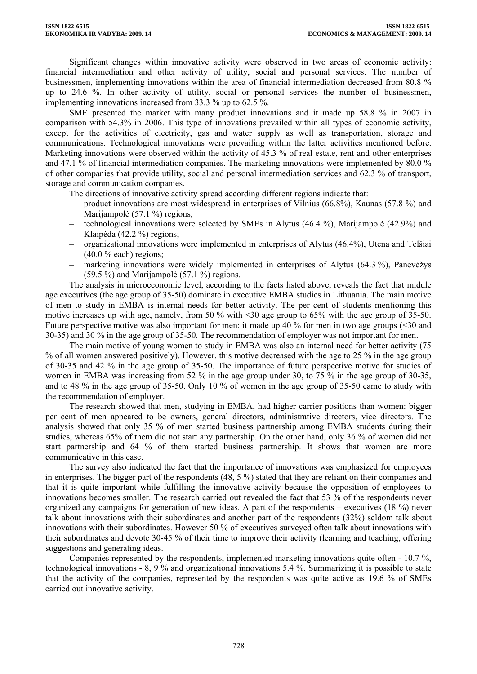Significant changes within innovative activity were observed in two areas of economic activity: financial intermediation and other activity of utility, social and personal services. The number of businessmen, implementing innovations within the area of financial intermediation decreased from 80.8 % up to 24.6 %. In other activity of utility, social or personal services the number of businessmen, implementing innovations increased from 33.3 % up to 62.5 %.

SME presented the market with many product innovations and it made up 58.8 % in 2007 in comparison with 54.3% in 2006. This type of innovations prevailed within all types of economic activity, except for the activities of electricity, gas and water supply as well as transportation, storage and communications. Technological innovations were prevailing within the latter activities mentioned before. Marketing innovations were observed within the activity of 45.3 % of real estate, rent and other enterprises and 47.1 % of financial intermediation companies. The marketing innovations were implemented by 80.0 % of other companies that provide utility, social and personal intermediation services and 62.3 % of transport, storage and communication companies.

The directions of innovative activity spread according different regions indicate that:

- product innovations are most widespread in enterprises of Vilnius (66.8%), Kaunas (57.8 %) and Marijampolė (57.1 %) regions;
- technological innovations were selected by SMEs in Alytus (46.4 %), Marijampolė (42.9%) and Klaipėda (42.2 %) regions;
- organizational innovations were implemented in enterprises of Alytus (46.4%), Utena and Telšiai  $(40.0 % each)$  regions;
- marketing innovations were widely implemented in enterprises of Alytus (64.3 %), Panevėžys (59.5 %) and Marijampolė (57.1 %) regions.

The analysis in microeconomic level, according to the facts listed above, reveals the fact that middle age executives (the age group of 35-50) dominate in executive EMBA studies in Lithuania. The main motive of men to study in EMBA is internal needs for better activity. The per cent of students mentioning this motive increases up with age, namely, from 50 % with <30 age group to 65% with the age group of 35-50. Future perspective motive was also important for men: it made up 40 % for men in two age groups (<30 and 30-35) and 30 % in the age group of 35-50. The recommendation of employer was not important for men.

The main motive of young women to study in EMBA was also an internal need for better activity (75 % of all women answered positively). However, this motive decreased with the age to 25 % in the age group of 30-35 and 42 % in the age group of 35-50. The importance of future perspective motive for studies of women in EMBA was increasing from 52 % in the age group under 30, to 75 % in the age group of 30-35, and to 48 % in the age group of 35-50. Only 10 % of women in the age group of 35-50 came to study with the recommendation of employer.

The research showed that men, studying in EMBA, had higher carrier positions than women: bigger per cent of men appeared to be owners, general directors, administrative directors, vice directors. The analysis showed that only 35 % of men started business partnership among EMBA students during their studies, whereas 65% of them did not start any partnership. On the other hand, only 36 % of women did not start partnership and 64 % of them started business partnership. It shows that women are more communicative in this case.

The survey also indicated the fact that the importance of innovations was emphasized for employees in enterprises. The bigger part of the respondents (48, 5 %) stated that they are reliant on their companies and that it is quite important while fulfilling the innovative activity because the opposition of employees to innovations becomes smaller. The research carried out revealed the fact that 53 % of the respondents never organized any campaigns for generation of new ideas. A part of the respondents – executives (18 %) never talk about innovations with their subordinates and another part of the respondents (32%) seldom talk about innovations with their subordinates. However 50 % of executives surveyed often talk about innovations with their subordinates and devote 30-45 % of their time to improve their activity (learning and teaching, offering suggestions and generating ideas.

Companies represented by the respondents, implemented marketing innovations quite often - 10.7 %, technological innovations - 8, 9 % and organizational innovations 5.4 %. Summarizing it is possible to state that the activity of the companies, represented by the respondents was quite active as 19.6 % of SMEs carried out innovative activity.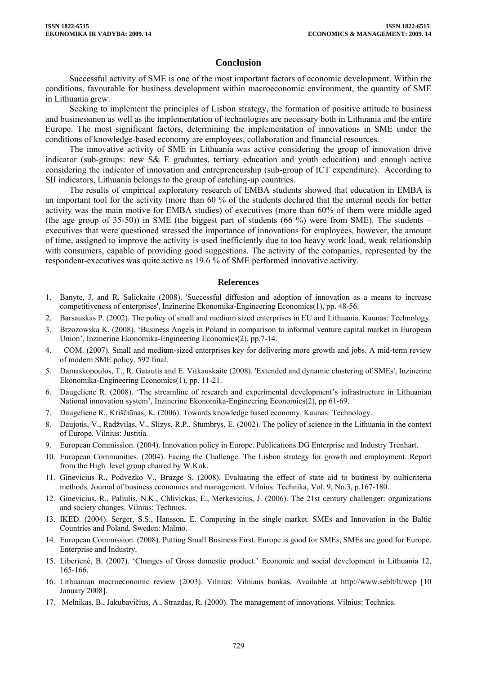## **Conclusion**

Successful activity of SME is one of the most important factors of economic development. Within the conditions, favourable for business development within macroeconomic environment, the quantity of SME in Lithuania grew.

Seeking to implement the principles of Lisbon strategy, the formation of positive attitude to business and businessmen as well as the implementation of technologies are necessary both in Lithuania and the entire Europe. The most significant factors, determining the implementation of innovations in SME under the conditions of knowledge-based economy are employees, collaboration and financial resources.

The innovative activity of SME in Lithuania was active considering the group of innovation drive indicator (sub-groups: new S& E graduates, tertiary education and youth education) and enough active considering the indicator of innovation and entrepreneurship (sub-group of ICT expenditure). According to SII indicators, Lithuania belongs to the group of catching-up countries.

The results of empirical exploratory research of EMBA students showed that education in EMBA is an important tool for the activity (more than 60 % of the students declared that the internal needs for better activity was the main motive for EMBA studies) of executives (more than 60% of them were middle aged (the age group of 35-50)) in SME (the biggest part of students  $(66\%)$  were from SME). The students – executives that were questioned stressed the importance of innovations for employees, however, the amount of time, assigned to improve the activity is used inefficiently due to too heavy work load, weak relationship with consumers, capable of providing good suggestions. The activity of the companies, represented by the respondent-executives was quite active as 19.6 % of SME performed innovative activity.

#### **References**

- 1. Banyte, J. and R. Salickaite (2008). 'Successful diffusion and adoption of innovation as a means to increase competitiveness of enterprises', Inzinerine Ekonomika-Engineering Economics(1), pp. 48-56.
- 2. Barsauskas P. (2002). The policy of small and medium sized enterprises in EU and Lithuania. Kaunas: Technology.
- 3. Brzozowska K. (2008). 'Business Angels in Poland in comparison to informal venture capital market in European Union', Inzinerine Ekonomika-Engineering Economics(2), pp.7-14.
- 4. COM. (2007). Small and medium-sized enterprises key for delivering more growth and jobs. A mid-term review of modern SME policy. 592 final.
- 5. Damaskopoulos, T., R. Gatautis and E. Vitkauskaite (2008). 'Extended and dynamic clustering of SMEs', Inzinerine Ekonomika-Engineering Economics(1), pp. 11-21.
- 6. Daugeliene R. (2008). 'The streamline of research and experimental development's infrastructure in Lithuanian National innovation system', Inzinerine Ekonomika-Engineering Economics(2), pp 61-69.
- 7. Daugeliene R., Kriščiūnas, K. (2006). Towards knowledge based economy. Kaunas: Technology.
- 8. Daujotis, V., Radžvilas, V., Slizys, R.P., Stumbrys, E. (2002). The policy of science in the Lithuania in the context of Europe. Vilnius: Justitia.
- 9. European Commission. (2004). Innovation policy in Europe. Publications DG Enterprise and Industry Trenhart.
- 10. European Communities. (2004). Facing the Challenge. The Lisbon strategy for growth and employment. Report from the High level group chaired by W.Kok.
- 11. Ginevicius R., Podvezko V., Bruzge S. (2008). Evaluating the effect of state aid to business by nulticriteria methods. Journal of business economics and management. Vilnius: Technika, Vol. 9, No.3, p.167-180.
- 12. Ginevicius, R., Paliulis, N.K., Chlivickas, E., Merkevicius, J. (2006). The 21st century challenger: organizations and society changes. Vilnius: Technics.
- 13. IKED. (2004). Serger, S.S., Hansson, E. Competing in the single market. SMEs and Innovation in the Baltic Countries and Poland. Sweden: Malmo.
- 14. European Commission. (2008). Putting Small Business First. Europe is good for SMEs, SMEs are good for Europe. Enterprise and Industry.
- 15. Liberienė, B. (2007). 'Changes of Gross domestic product.' Economic and social development in Lithuania 12, 165-166.
- 16. Lithuanian macroeconomic review (2003). Vilnius: Vilniaus bankas. Available at <http://www.seblt/lt/wcp> [10 January 2008].
- 17. Melnikas, B., Jakubavičius, A., Strazdas, R. (2000). The management of innovations. Vilnius: Technics.